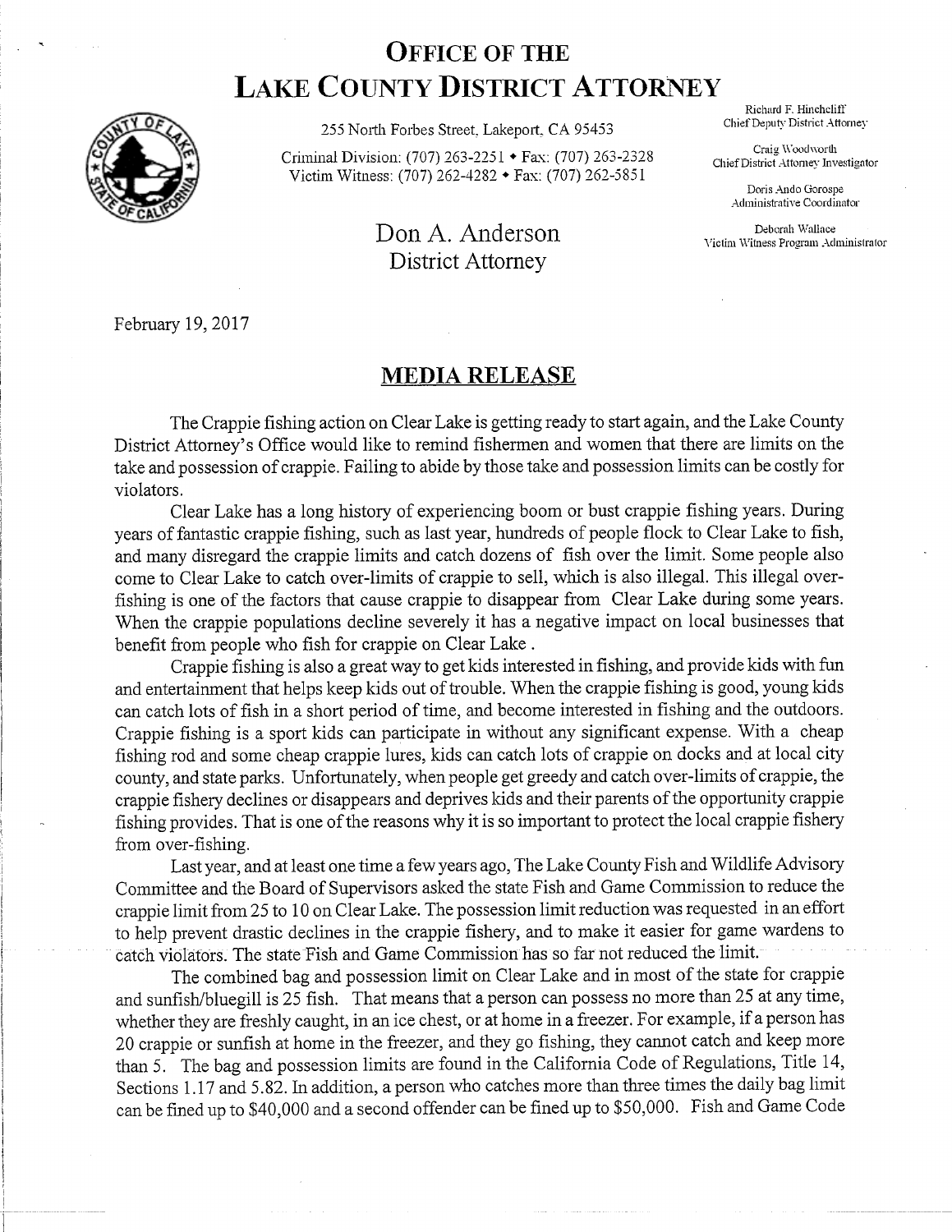## **OFFICE OF THE LAKE COUNTY DISTRICT ATTORNEY**



255 North Forbes Street, Lakeport, CA 95453 Chief Deputy District Attorney

Criminal Division: (707) 263-2251 • Fax: (707) 263-2328 Victim Witness: (707) 262-4282 • Fax: (707) 262-5851

## Don A. Anderson Deborah Wallace Deborah Mallace Deborah Mallace Deborah Administrator District Attorney

Richard F. Hincheliff

Craig Woodworth Chief District Attorney Investigator

> Doris Ando Gorospe Administrative Coordinator

February 19,2017

## **MEDIA RELEASE**

The Crappie fishing action on Clear Lake is getting ready to start again, and the Lake County District Attorney's Office would like to remind fishermen and women that there are limits on the take and possession of crappie. Failing to abide by those take and possession limits can be costly for violators.

Clear Lake has a long history of experiencing boom or bust crappie fishing years. During years of fantastic crappie fishing, such as last year, hundreds of people flock to Clear Lake to fish, and many disregard the crappie limits and catch dozens of fish over the limit. Some people also come to Clear Lake to catch over-limits of crappie to sell, which is also illegal. This illegal overfishing is one of the factors that cause crappie to disappear from Clear Lake during some years. When the crappie populations decline severely it has a negative impact on local businesses that benefit from people who fish for crappie on Clear Lake .

Crappie fishing is also a great way to get kids interested in fishing, and provide kids with fun and entertainment that helps keep kids out of trouble. When the crappie fishing is good, young kids can catch lots of fish in a short period of time, and become interested in fishing and the outdoors. Crappie fishing is a sport kids can participate in without any significant expense. With a cheap fishing rod and some cheap crappie lures, kids can catch lots of crappie on docks and at local city county, and state parks. Unfortunately, when people get greedy and catch over-limits of crappie, the crappie fishery declines or disappears and deprives kids and their parents ofthe opportunity crappie fishing provides. That is one of the reasons why it is so important to protect the local crappie fishery from over-fishing.

Last year, and at least one time a few years ago, The Lake County Fish and Wildlife Advisory Committee and the Board of Supervisors asked the state Fish and Game Commission to reduce the crappie limit from 25 to 10 on Clear Lake. The possession limit reduction was requested in an effort to help prevent drastic declines in the crappie fishery, and to make it easier for game wardens to catch violators. The state Fish and Game Commission has so far not reduced the limit.

The combined bag and possession limit on Clear Lake and in most of the state for crappie and sunfish/bluegill is 25 fish. That means that a person can possess no more than 25 at any time, whether they are freshly caught, in an ice chest, or at home in a freezer. For example, if a person has 20 crappie or sunfish at home in the freezer, and they go fishing, they cannot catch and keep more than 5. The bag and possession limits are found in the California Code of Regulations, Title 14, Sections 1.17 and 5. 82. In addition, a person who catches more than three times the daily bag limit can be fined up to \$40,000 and a second offender can be fined up to \$50,000. Fish and Game Code